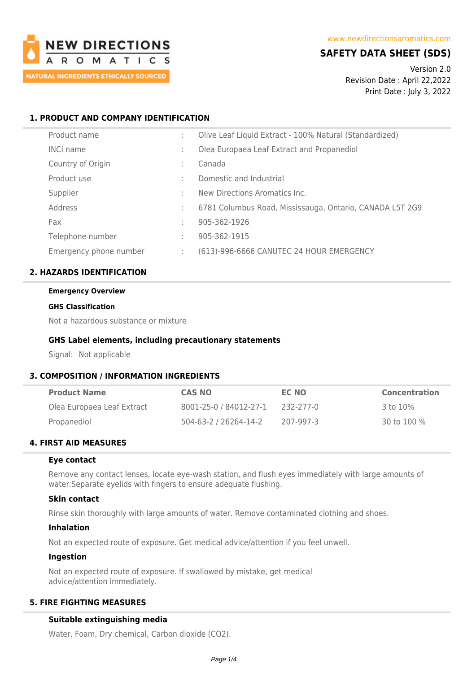

# **SAFETY DATA SHEET (SDS)**

Version 2.0 Revision Date : April 22,2022 Print Date : July 3, 2022

## **1. PRODUCT AND COMPANY IDENTIFICATION**

| Product name           |   | Olive Leaf Liquid Extract - 100% Natural (Standardized)  |
|------------------------|---|----------------------------------------------------------|
| <b>INCI name</b>       |   | Olea Europaea Leaf Extract and Propanediol               |
| Country of Origin      | ٠ | Canada                                                   |
| Product use            | ٠ | Domestic and Industrial                                  |
| Supplier               | ÷ | New Directions Aromatics Inc.                            |
| Address                | ÷ | 6781 Columbus Road, Mississauga, Ontario, CANADA L5T 2G9 |
| Fax                    | ÷ | 905-362-1926                                             |
| Telephone number       | ÷ | 905-362-1915                                             |
| Emergency phone number |   | (613)-996-6666 CANUTEC 24 HOUR EMERGENCY                 |

### **2. HAZARDS IDENTIFICATION**

#### **Emergency Overview**

#### **GHS Classification**

Not a hazardous substance or mixture

### **GHS Label elements, including precautionary statements**

Signal: Not applicable

### **3. COMPOSITION / INFORMATION INGREDIENTS**

| <b>Product Name</b>        | <b>CAS NO</b>          | EC NO     | <b>Concentration</b> |
|----------------------------|------------------------|-----------|----------------------|
| Olea Europaea Leaf Extract | 8001-25-0 / 84012-27-1 | 232-277-0 | 3 to 10%             |
| Propanediol                | 504-63-2 / 26264-14-2  | 207-997-3 | 30 to 100 %          |

## **4. FIRST AID MEASURES**

### **Eye contact**

Remove any contact lenses, locate eye-wash station, and flush eyes immediately with large amounts of water.Separate eyelids with fingers to ensure adequate flushing.

### **Skin contact**

Rinse skin thoroughly with large amounts of water. Remove contaminated clothing and shoes.

### **Inhalation**

Not an expected route of exposure. Get medical advice/attention if you feel unwell.

### **Ingestion**

Not an expected route of exposure. If swallowed by mistake, get medical advice/attention immediately.

# **5. FIRE FIGHTING MEASURES**

### **Suitable extinguishing media**

Water, Foam, Dry chemical, Carbon dioxide (CO2).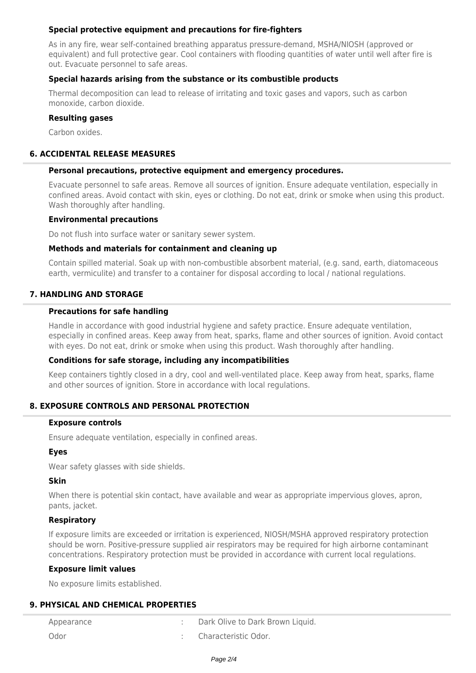## **Special protective equipment and precautions for fire-fighters**

As in any fire, wear self-contained breathing apparatus pressure-demand, MSHA/NIOSH (approved or equivalent) and full protective gear. Cool containers with flooding quantities of water until well after fire is out. Evacuate personnel to safe areas.

## **Special hazards arising from the substance or its combustible products**

Thermal decomposition can lead to release of irritating and toxic gases and vapors, such as carbon monoxide, carbon dioxide.

## **Resulting gases**

Carbon oxides.

## **6. ACCIDENTAL RELEASE MEASURES**

#### **Personal precautions, protective equipment and emergency procedures.**

Evacuate personnel to safe areas. Remove all sources of ignition. Ensure adequate ventilation, especially in confined areas. Avoid contact with skin, eyes or clothing. Do not eat, drink or smoke when using this product. Wash thoroughly after handling.

#### **Environmental precautions**

Do not flush into surface water or sanitary sewer system.

#### **Methods and materials for containment and cleaning up**

Contain spilled material. Soak up with non-combustible absorbent material, (e.g. sand, earth, diatomaceous earth, vermiculite) and transfer to a container for disposal according to local / national regulations.

### **7. HANDLING AND STORAGE**

#### **Precautions for safe handling**

Handle in accordance with good industrial hygiene and safety practice. Ensure adequate ventilation, especially in confined areas. Keep away from heat, sparks, flame and other sources of ignition. Avoid contact with eyes. Do not eat, drink or smoke when using this product. Wash thoroughly after handling.

### **Conditions for safe storage, including any incompatibilities**

Keep containers tightly closed in a dry, cool and well-ventilated place. Keep away from heat, sparks, flame and other sources of ignition. Store in accordance with local regulations.

### **8. EXPOSURE CONTROLS AND PERSONAL PROTECTION**

#### **Exposure controls**

Ensure adequate ventilation, especially in confined areas.

### **Eyes**

Wear safety glasses with side shields.

### **Skin**

When there is potential skin contact, have available and wear as appropriate impervious gloves, apron, pants, jacket.

### **Respiratory**

If exposure limits are exceeded or irritation is experienced, NIOSH/MSHA approved respiratory protection should be worn. Positive-pressure supplied air respirators may be required for high airborne contaminant concentrations. Respiratory protection must be provided in accordance with current local regulations.

#### **Exposure limit values**

No exposure limits established.

### **9. PHYSICAL AND CHEMICAL PROPERTIES**

| Appearance | Dark Olive to Dark Brown Liquid. |
|------------|----------------------------------|
| Odor       | Characteristic Odor.             |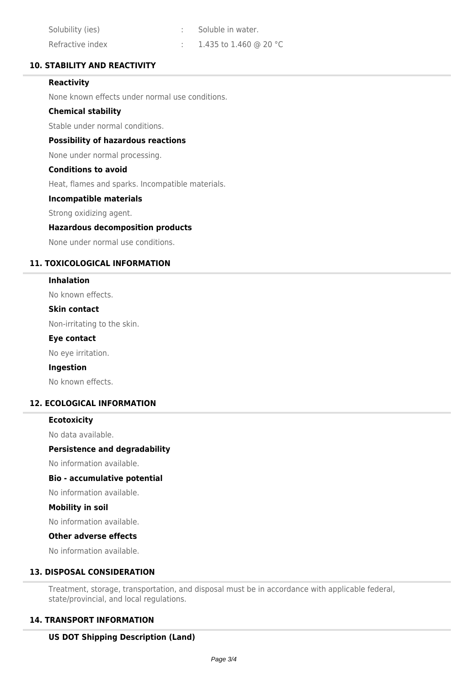| Solubility (ies) | Soluble in water.      |
|------------------|------------------------|
| Refractive index | 1.435 to 1.460 @ 20 °C |

## **10. STABILITY AND REACTIVITY**

### **Reactivity**

None known effects under normal use conditions.

### **Chemical stability**

Stable under normal conditions.

### **Possibility of hazardous reactions**

None under normal processing.

#### **Conditions to avoid**

Heat, flames and sparks. Incompatible materials.

### **Incompatible materials**

Strong oxidizing agent.

#### **Hazardous decomposition products**

None under normal use conditions.

## **11. TOXICOLOGICAL INFORMATION**

#### **Inhalation**

No known effects.

#### **Skin contact**

Non-irritating to the skin.

#### **Eye contact**

No eye irritation.

#### **Ingestion**

No known effects.

### **12. ECOLOGICAL INFORMATION**

#### **Ecotoxicity**

No data available.

#### **Persistence and degradability**

No information available.

#### **Bio - accumulative potential**

No information available.

#### **Mobility in soil**

No information available.

#### **Other adverse effects**

No information available.

### **13. DISPOSAL CONSIDERATION**

Treatment, storage, transportation, and disposal must be in accordance with applicable federal, state/provincial, and local regulations.

### **14. TRANSPORT INFORMATION**

## **US DOT Shipping Description (Land)**